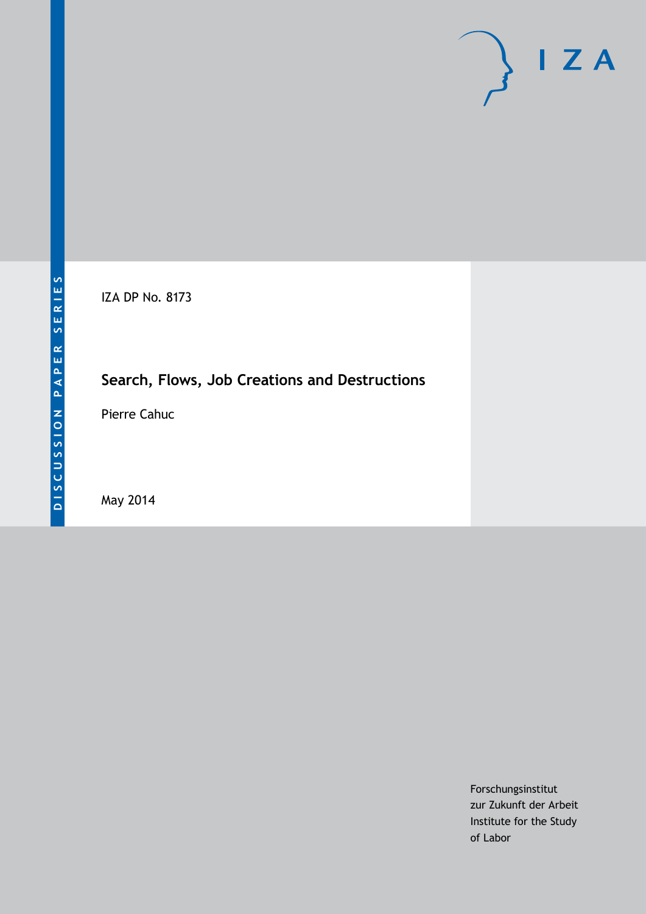# $\mathsf{I}$  Z A

IZA DP No. 8173

# **Search, Flows, Job Creations and Destructions**

Pierre Cahuc

May 2014

Forschungsinstitut zur Zukunft der Arbeit Institute for the Study of Labor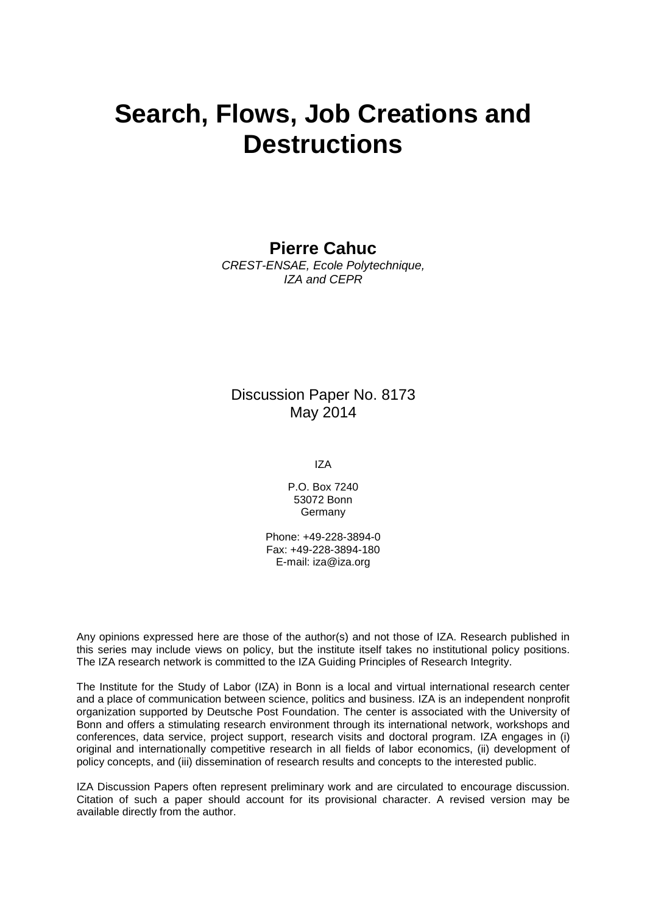# **Search, Flows, Job Creations and Destructions**

**Pierre Cahuc**

*CREST-ENSAE, Ecole Polytechnique, IZA and CEPR*

# Discussion Paper No. 8173 May 2014

IZA

P.O. Box 7240 53072 Bonn **Germany** 

Phone: +49-228-3894-0 Fax: +49-228-3894-180 E-mail: [iza@iza.org](mailto:iza@iza.org)

Any opinions expressed here are those of the author(s) and not those of IZA. Research published in this series may include views on policy, but the institute itself takes no institutional policy positions. The IZA research network is committed to the IZA Guiding Principles of Research Integrity.

The Institute for the Study of Labor (IZA) in Bonn is a local and virtual international research center and a place of communication between science, politics and business. IZA is an independent nonprofit organization supported by Deutsche Post Foundation. The center is associated with the University of Bonn and offers a stimulating research environment through its international network, workshops and conferences, data service, project support, research visits and doctoral program. IZA engages in (i) original and internationally competitive research in all fields of labor economics, (ii) development of policy concepts, and (iii) dissemination of research results and concepts to the interested public.

<span id="page-1-0"></span>IZA Discussion Papers often represent preliminary work and are circulated to encourage discussion. Citation of such a paper should account for its provisional character. A revised version may be available directly from the author.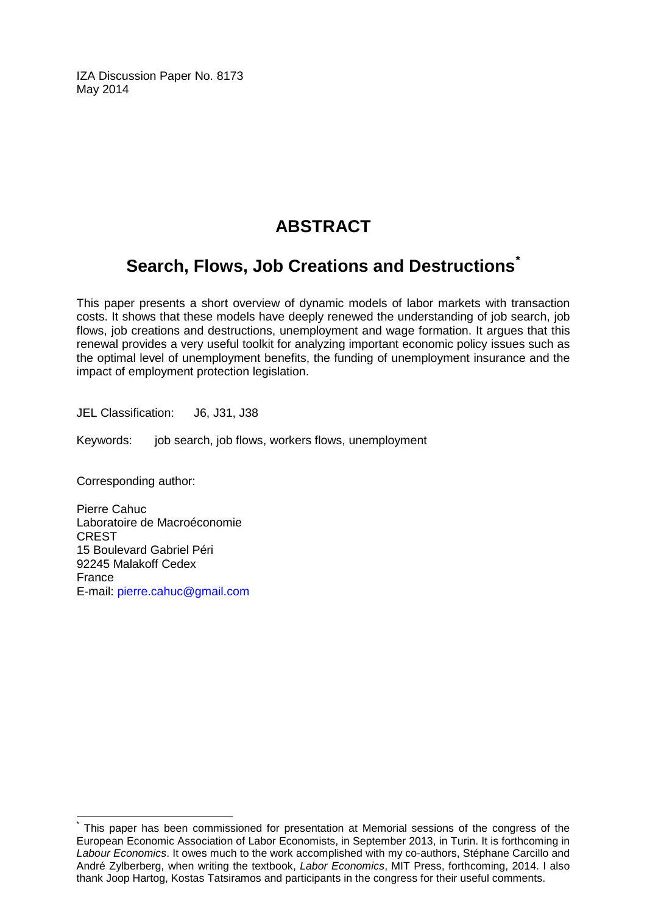IZA Discussion Paper No. 8173 May 2014

# **ABSTRACT**

# **Search, Flows, Job Creations and Destructions[\\*](#page-1-0)**

This paper presents a short overview of dynamic models of labor markets with transaction costs. It shows that these models have deeply renewed the understanding of job search, job flows, job creations and destructions, unemployment and wage formation. It argues that this renewal provides a very useful toolkit for analyzing important economic policy issues such as the optimal level of unemployment benefits, the funding of unemployment insurance and the impact of employment protection legislation.

JEL Classification: J6, J31, J38

Keywords: job search, job flows, workers flows, unemployment

Corresponding author:

Pierre Cahuc Laboratoire de Macroéconomie CREST 15 Boulevard Gabriel Péri 92245 Malakoff Cedex France E-mail: [pierre.cahuc@gmail.com](mailto:pierre.cahuc@gmail.com)

This paper has been commissioned for presentation at Memorial sessions of the congress of the European Economic Association of Labor Economists, in September 2013, in Turin. It is forthcoming in *Labour Economics*. It owes much to the work accomplished with my co-authors, Stéphane Carcillo and André Zylberberg, when writing the textbook, *Labor Economics*, MIT Press, forthcoming, 2014. I also thank Joop Hartog, Kostas Tatsiramos and participants in the congress for their useful comments.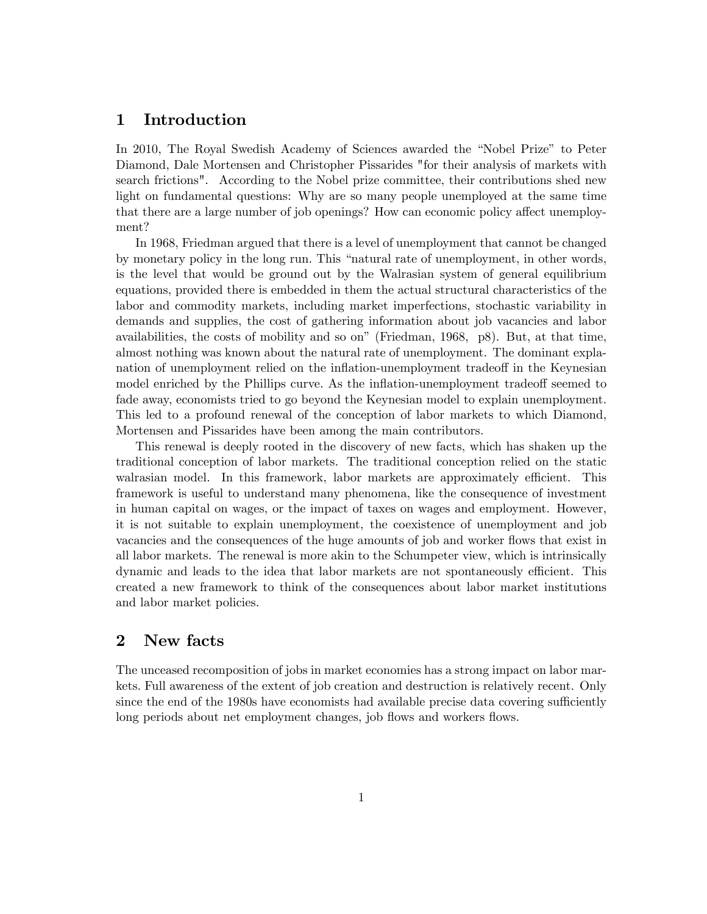# 1 Introduction

In 2010, The Royal Swedish Academy of Sciences awarded the "Nobel Prize" to Peter Diamond, Dale Mortensen and Christopher Pissarides "for their analysis of markets with search frictions". According to the Nobel prize committee, their contributions shed new light on fundamental questions: Why are so many people unemployed at the same time that there are a large number of job openings? How can economic policy affect unemployment?

In 1968, Friedman argued that there is a level of unemployment that cannot be changed by monetary policy in the long run. This "natural rate of unemployment, in other words, is the level that would be ground out by the Walrasian system of general equilibrium equations, provided there is embedded in them the actual structural characteristics of the labor and commodity markets, including market imperfections, stochastic variability in demands and supplies, the cost of gathering information about job vacancies and labor availabilities, the costs of mobility and so onî (Friedman, 1968, p8). But, at that time, almost nothing was known about the natural rate of unemployment. The dominant explanation of unemployment relied on the inflation-unemployment tradeoff in the Keynesian model enriched by the Phillips curve. As the inflation-unemployment tradeoff seemed to fade away, economists tried to go beyond the Keynesian model to explain unemployment. This led to a profound renewal of the conception of labor markets to which Diamond, Mortensen and Pissarides have been among the main contributors.

This renewal is deeply rooted in the discovery of new facts, which has shaken up the traditional conception of labor markets. The traditional conception relied on the static walrasian model. In this framework, labor markets are approximately efficient. This framework is useful to understand many phenomena, like the consequence of investment in human capital on wages, or the impact of taxes on wages and employment. However, it is not suitable to explain unemployment, the coexistence of unemployment and job vacancies and the consequences of the huge amounts of job and worker flows that exist in all labor markets. The renewal is more akin to the Schumpeter view, which is intrinsically dynamic and leads to the idea that labor markets are not spontaneously efficient. This created a new framework to think of the consequences about labor market institutions and labor market policies.

# 2 New facts

The unceased recomposition of jobs in market economies has a strong impact on labor markets. Full awareness of the extent of job creation and destruction is relatively recent. Only since the end of the 1980s have economists had available precise data covering sufficiently long periods about net employment changes, job flows and workers flows.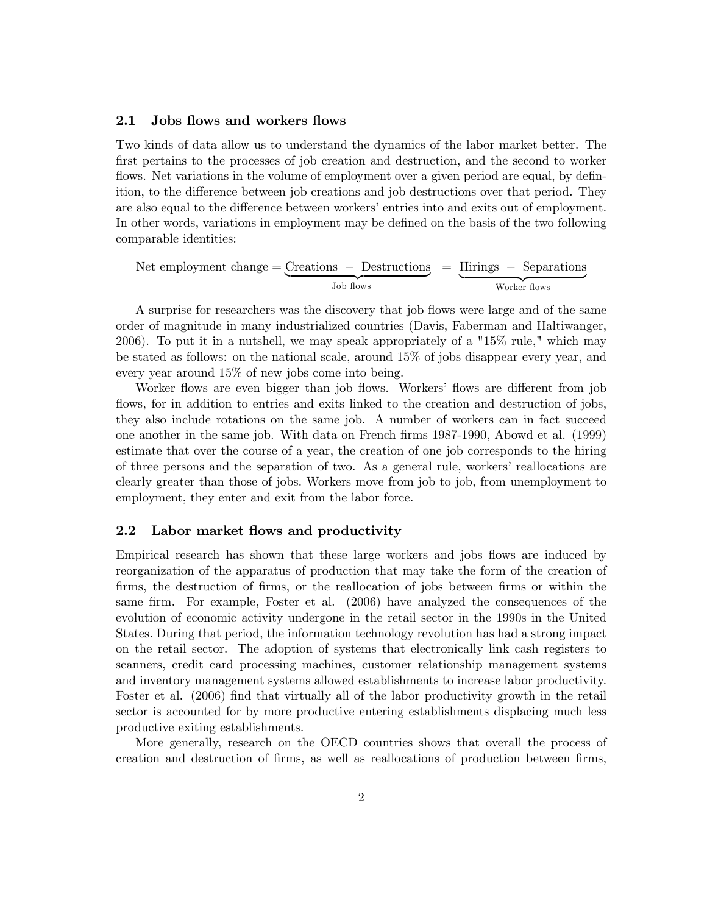#### 2.1 Jobs flows and workers flows

Two kinds of data allow us to understand the dynamics of the labor market better. The first pertains to the processes of job creation and destruction, and the second to worker flows. Net variations in the volume of employment over a given period are equal, by definition, to the difference between job creations and job destructions over that period. They are also equal to the difference between workers' entries into and exits out of employment. In other words, variations in employment may be defined on the basis of the two following comparable identities:

$$
Net employment change = \underbrace{Creations}_{Job flows} - \underbrace{Destructions}_{Worker flows} = \underbrace{Hirings}_{Worker flows} - Separations
$$

A surprise for researchers was the discovery that job flows were large and of the same order of magnitude in many industrialized countries (Davis, Faberman and Haltiwanger, 2006). To put it in a nutshell, we may speak appropriately of a "15% rule," which may be stated as follows: on the national scale, around 15% of jobs disappear every year, and every year around 15% of new jobs come into being.

Worker flows are even bigger than job flows. Workers' flows are different from job flows, for in addition to entries and exits linked to the creation and destruction of jobs, they also include rotations on the same job. A number of workers can in fact succeed one another in the same job. With data on French Örms 1987-1990, Abowd et al. (1999) estimate that over the course of a year, the creation of one job corresponds to the hiring of three persons and the separation of two. As a general rule, workers' reallocations are clearly greater than those of jobs. Workers move from job to job, from unemployment to employment, they enter and exit from the labor force.

#### 2.2 Labor market flows and productivity

Empirical research has shown that these large workers and jobs flows are induced by reorganization of the apparatus of production that may take the form of the creation of firms, the destruction of firms, or the reallocation of jobs between firms or within the same firm. For example, Foster et al. (2006) have analyzed the consequences of the evolution of economic activity undergone in the retail sector in the 1990s in the United States. During that period, the information technology revolution has had a strong impact on the retail sector. The adoption of systems that electronically link cash registers to scanners, credit card processing machines, customer relationship management systems and inventory management systems allowed establishments to increase labor productivity. Foster et al. (2006) find that virtually all of the labor productivity growth in the retail sector is accounted for by more productive entering establishments displacing much less productive exiting establishments.

More generally, research on the OECD countries shows that overall the process of creation and destruction of Örms, as well as reallocations of production between Örms,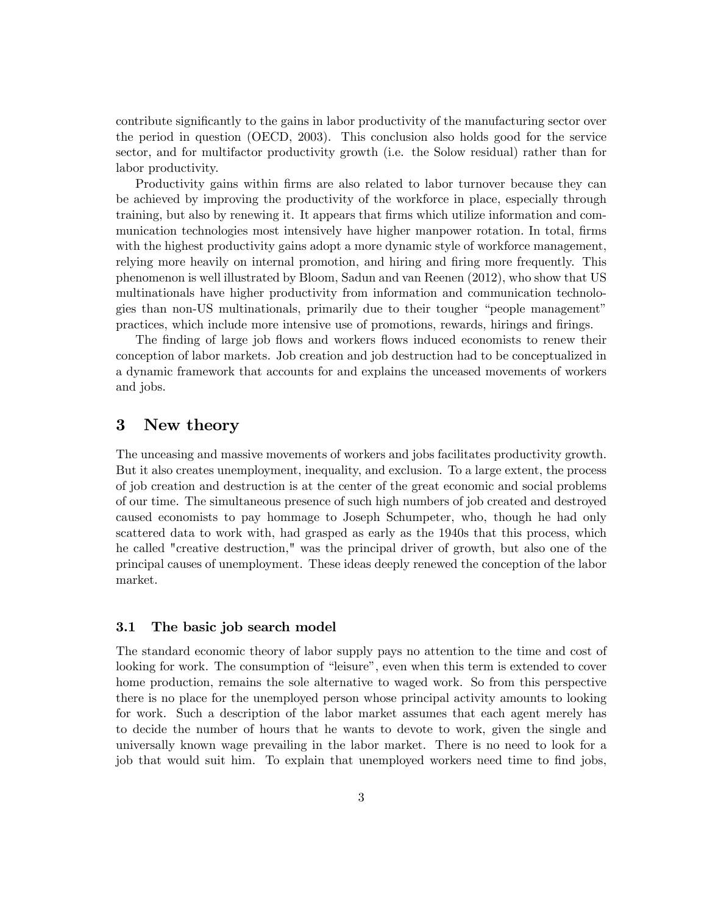contribute significantly to the gains in labor productivity of the manufacturing sector over the period in question (OECD, 2003). This conclusion also holds good for the service sector, and for multifactor productivity growth (i.e. the Solow residual) rather than for labor productivity.

Productivity gains within firms are also related to labor turnover because they can be achieved by improving the productivity of the workforce in place, especially through training, but also by renewing it. It appears that Örms which utilize information and communication technologies most intensively have higher manpower rotation. In total, firms with the highest productivity gains adopt a more dynamic style of workforce management, relying more heavily on internal promotion, and hiring and firing more frequently. This phenomenon is well illustrated by Bloom, Sadun and van Reenen (2012), who show that US multinationals have higher productivity from information and communication technologies than non-US multinationals, primarily due to their tougher "people management" practices, which include more intensive use of promotions, rewards, hirings and firings.

The finding of large job flows and workers flows induced economists to renew their conception of labor markets. Job creation and job destruction had to be conceptualized in a dynamic framework that accounts for and explains the unceased movements of workers and jobs.

## 3 New theory

The unceasing and massive movements of workers and jobs facilitates productivity growth. But it also creates unemployment, inequality, and exclusion. To a large extent, the process of job creation and destruction is at the center of the great economic and social problems of our time. The simultaneous presence of such high numbers of job created and destroyed caused economists to pay hommage to Joseph Schumpeter, who, though he had only scattered data to work with, had grasped as early as the 1940s that this process, which he called "creative destruction," was the principal driver of growth, but also one of the principal causes of unemployment. These ideas deeply renewed the conception of the labor market.

#### 3.1 The basic job search model

The standard economic theory of labor supply pays no attention to the time and cost of looking for work. The consumption of "leisure", even when this term is extended to cover home production, remains the sole alternative to waged work. So from this perspective there is no place for the unemployed person whose principal activity amounts to looking for work. Such a description of the labor market assumes that each agent merely has to decide the number of hours that he wants to devote to work, given the single and universally known wage prevailing in the labor market. There is no need to look for a job that would suit him. To explain that unemployed workers need time to find jobs,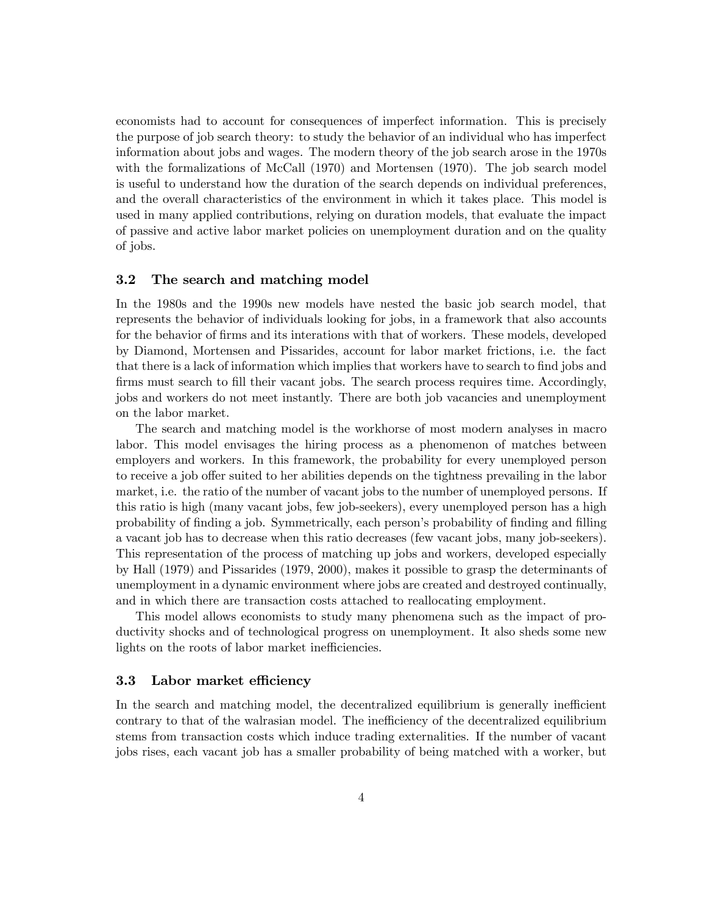economists had to account for consequences of imperfect information. This is precisely the purpose of job search theory: to study the behavior of an individual who has imperfect information about jobs and wages. The modern theory of the job search arose in the 1970s with the formalizations of McCall (1970) and Mortensen (1970). The job search model is useful to understand how the duration of the search depends on individual preferences, and the overall characteristics of the environment in which it takes place. This model is used in many applied contributions, relying on duration models, that evaluate the impact of passive and active labor market policies on unemployment duration and on the quality of jobs.

#### 3.2 The search and matching model

In the 1980s and the 1990s new models have nested the basic job search model, that represents the behavior of individuals looking for jobs, in a framework that also accounts for the behavior of firms and its interations with that of workers. These models, developed by Diamond, Mortensen and Pissarides, account for labor market frictions, i.e. the fact that there is a lack of information which implies that workers have to search to find jobs and firms must search to fill their vacant jobs. The search process requires time. Accordingly, jobs and workers do not meet instantly. There are both job vacancies and unemployment on the labor market.

The search and matching model is the workhorse of most modern analyses in macro labor. This model envisages the hiring process as a phenomenon of matches between employers and workers. In this framework, the probability for every unemployed person to receive a job offer suited to her abilities depends on the tightness prevailing in the labor market, i.e. the ratio of the number of vacant jobs to the number of unemployed persons. If this ratio is high (many vacant jobs, few job-seekers), every unemployed person has a high probability of Önding a job. Symmetrically, each personís probability of Önding and Ölling a vacant job has to decrease when this ratio decreases (few vacant jobs, many job-seekers). This representation of the process of matching up jobs and workers, developed especially by Hall (1979) and Pissarides (1979, 2000), makes it possible to grasp the determinants of unemployment in a dynamic environment where jobs are created and destroyed continually, and in which there are transaction costs attached to reallocating employment.

This model allows economists to study many phenomena such as the impact of productivity shocks and of technological progress on unemployment. It also sheds some new lights on the roots of labor market inefficiencies.

#### 3.3 Labor market efficiency

In the search and matching model, the decentralized equilibrium is generally inefficient contrary to that of the walrasian model. The inefficiency of the decentralized equilibrium stems from transaction costs which induce trading externalities. If the number of vacant jobs rises, each vacant job has a smaller probability of being matched with a worker, but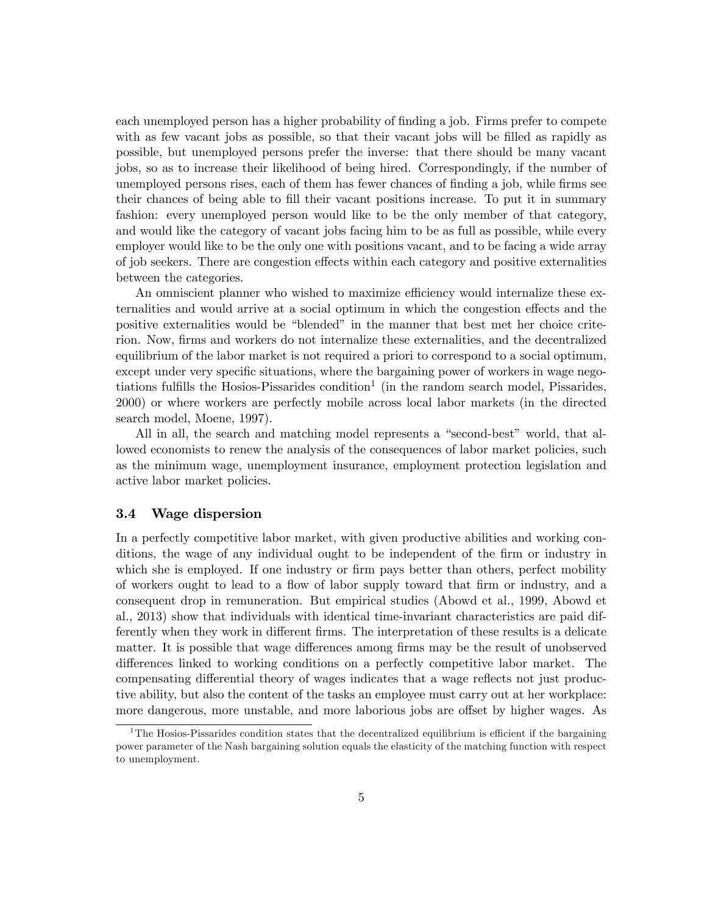each unemployed person has a higher probability of finding a job. Firms prefer to compete with as few vacant jobs as possible, so that their vacant jobs will be filled as rapidly as possible, but unemployed persons prefer the inverse: that there should be many vacant jobs, so as to increase their likelihood of being hired. Correspondingly, if the number of unemployed persons rises, each of them has fewer chances of finding a job, while firms see their chances of being able to fill their vacant positions increase. To put it in summary fashion: every unemployed person would like to be the only member of that category, and would like the category of vacant jobs facing him to be as full as possible, while every employer would like to be the only one with positions vacant, and to be facing a wide array of job seekers. There are congestion effects within each category and positive externalities between the categories.

An omniscient planner who wished to maximize efficiency would internalize these externalities and would arrive at a social optimum in which the congestion effects and the positive externalities would be "blended" in the manner that best met her choice criterion. Now, firms and workers do not internalize these externalities, and the decentralized equilibrium of the labor market is not required a priori to correspond to a social optimum, except under very specific situations, where the bargaining power of workers in wage negotiations fulfills the Hosios-Pissarides condition<sup>1</sup> (in the random search model, Pissarides, 2000) or where workers are perfectly mobile across local labor markets (in the directed search model, Moene, 1997).

All in all, the search and matching model represents a "second-best" world, that allowed economists to renew the analysis of the consequences of labor market policies, such as the minimum wage, unemployment insurance, employment protection legislation and active labor market policies.

#### 3.4 Wage dispersion

In a perfectly competitive labor market, with given productive abilities and working conditions, the wage of any individual ought to be independent of the firm or industry in which she is employed. If one industry or firm pays better than others, perfect mobility of workers ought to lead to a flow of labor supply toward that firm or industry, and a consequent drop in remuneration. But empirical studies (Abowd et al., 1999, Abowd et al., 2013) show that individuals with identical time-invariant characteristics are paid differently when they work in different firms. The interpretation of these results is a delicate matter. It is possible that wage differences among firms may be the result of unobserved differences linked to working conditions on a perfectly competitive labor market. The compensating differential theory of wages indicates that a wage reflects not just productive ability, but also the content of the tasks an employee must carry out at her workplace: more dangerous, more unstable, and more laborious jobs are offset by higher wages. As

 $1$ The Hosios-Pissarides condition states that the decentralized equilibrium is efficient if the bargaining power parameter of the Nash bargaining solution equals the elasticity of the matching function with respect to unemployment.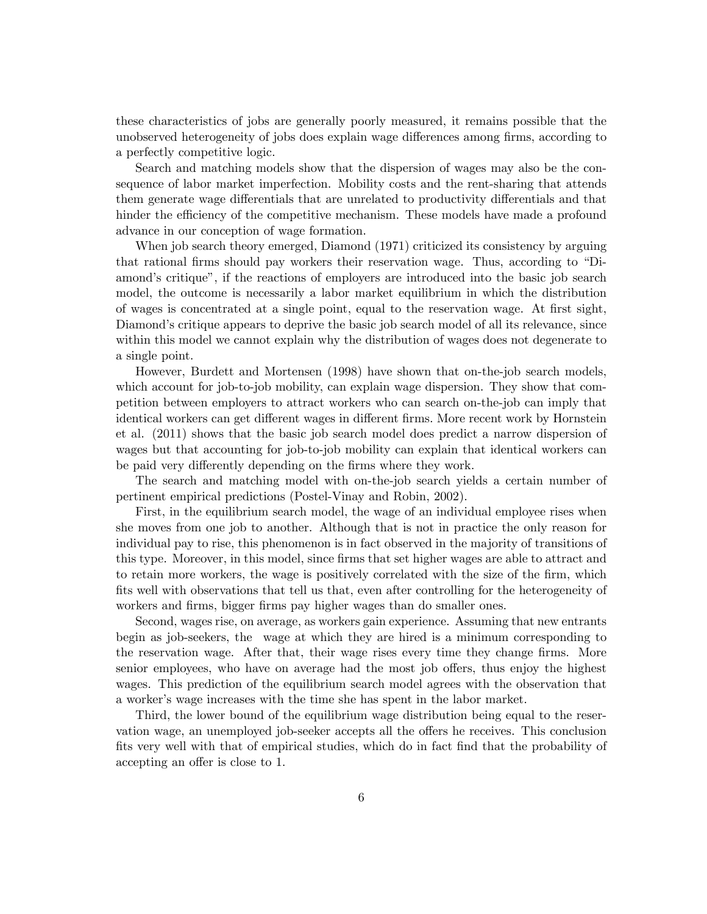these characteristics of jobs are generally poorly measured, it remains possible that the unobserved heterogeneity of jobs does explain wage differences among firms, according to a perfectly competitive logic.

Search and matching models show that the dispersion of wages may also be the consequence of labor market imperfection. Mobility costs and the rent-sharing that attends them generate wage differentials that are unrelated to productivity differentials and that hinder the efficiency of the competitive mechanism. These models have made a profound advance in our conception of wage formation.

When job search theory emerged, Diamond (1971) criticized its consistency by arguing that rational firms should pay workers their reservation wage. Thus, according to "Diamond's critique", if the reactions of employers are introduced into the basic job search model, the outcome is necessarily a labor market equilibrium in which the distribution of wages is concentrated at a single point, equal to the reservation wage. At first sight, Diamond's critique appears to deprive the basic job search model of all its relevance, since within this model we cannot explain why the distribution of wages does not degenerate to a single point.

However, Burdett and Mortensen (1998) have shown that on-the-job search models, which account for job-to-job mobility, can explain wage dispersion. They show that competition between employers to attract workers who can search on-the-job can imply that identical workers can get different wages in different firms. More recent work by Hornstein et al. (2011) shows that the basic job search model does predict a narrow dispersion of wages but that accounting for job-to-job mobility can explain that identical workers can be paid very differently depending on the firms where they work.

The search and matching model with on-the-job search yields a certain number of pertinent empirical predictions (Postel-Vinay and Robin, 2002).

First, in the equilibrium search model, the wage of an individual employee rises when she moves from one job to another. Although that is not in practice the only reason for individual pay to rise, this phenomenon is in fact observed in the majority of transitions of this type. Moreover, in this model, since firms that set higher wages are able to attract and to retain more workers, the wage is positively correlated with the size of the Örm, which fits well with observations that tell us that, even after controlling for the heterogeneity of workers and firms, bigger firms pay higher wages than do smaller ones.

Second, wages rise, on average, as workers gain experience. Assuming that new entrants begin as job-seekers, the wage at which they are hired is a minimum corresponding to the reservation wage. After that, their wage rises every time they change firms. More senior employees, who have on average had the most job offers, thus enjoy the highest wages. This prediction of the equilibrium search model agrees with the observation that a worker's wage increases with the time she has spent in the labor market.

Third, the lower bound of the equilibrium wage distribution being equal to the reservation wage, an unemployed job-seeker accepts all the offers he receives. This conclusion fits very well with that of empirical studies, which do in fact find that the probability of accepting an offer is close to 1.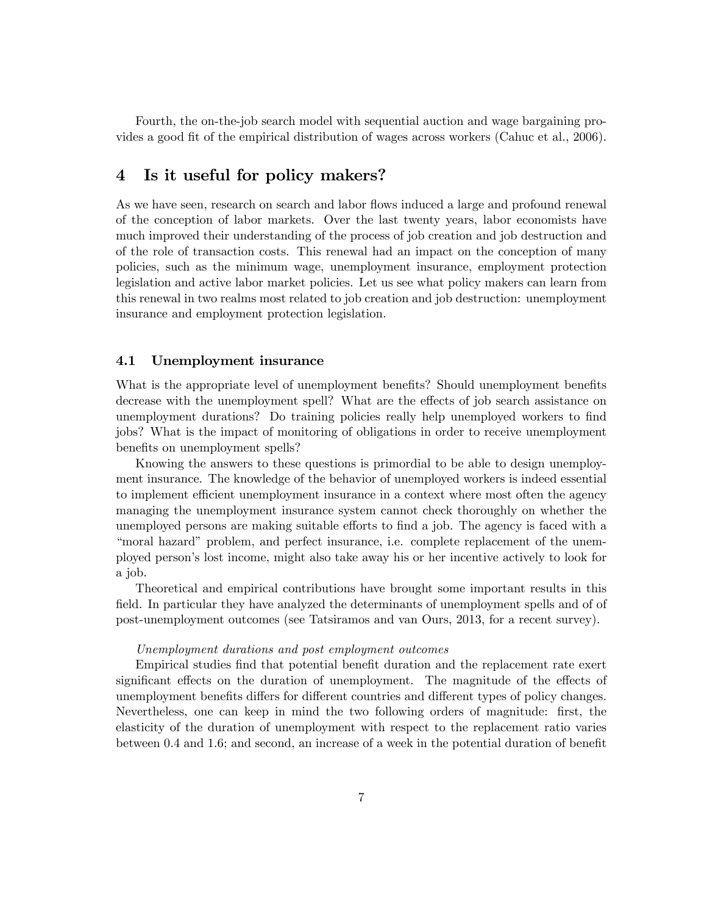Fourth, the on-the-job search model with sequential auction and wage bargaining provides a good fit of the empirical distribution of wages across workers (Cahuc et al., 2006).

## 4 Is it useful for policy makers?

As we have seen, research on search and labor flows induced a large and profound renewal of the conception of labor markets. Over the last twenty years, labor economists have much improved their understanding of the process of job creation and job destruction and of the role of transaction costs. This renewal had an impact on the conception of many policies, such as the minimum wage, unemployment insurance, employment protection legislation and active labor market policies. Let us see what policy makers can learn from this renewal in two realms most related to job creation and job destruction: unemployment insurance and employment protection legislation.

#### 4.1 Unemployment insurance

What is the appropriate level of unemployment benefits? Should unemployment benefits decrease with the unemployment spell? What are the effects of job search assistance on unemployment durations? Do training policies really help unemployed workers to find jobs? What is the impact of monitoring of obligations in order to receive unemployment benefits on unemployment spells?

Knowing the answers to these questions is primordial to be able to design unemployment insurance. The knowledge of the behavior of unemployed workers is indeed essential to implement efficient unemployment insurance in a context where most often the agency managing the unemployment insurance system cannot check thoroughly on whether the unemployed persons are making suitable efforts to find a job. The agency is faced with a "moral hazard" problem, and perfect insurance, i.e. complete replacement of the unemployed personís lost income, might also take away his or her incentive actively to look for a job.

Theoretical and empirical contributions have brought some important results in this field. In particular they have analyzed the determinants of unemployment spells and of of post-unemployment outcomes (see Tatsiramos and van Ours, 2013, for a recent survey).

#### Unemployment durations and post employment outcomes

Empirical studies find that potential benefit duration and the replacement rate exert significant effects on the duration of unemployment. The magnitude of the effects of unemployment benefits differs for different countries and different types of policy changes. Nevertheless, one can keep in mind the two following orders of magnitude: first, the elasticity of the duration of unemployment with respect to the replacement ratio varies between 0.4 and 1.6; and second, an increase of a week in the potential duration of benefit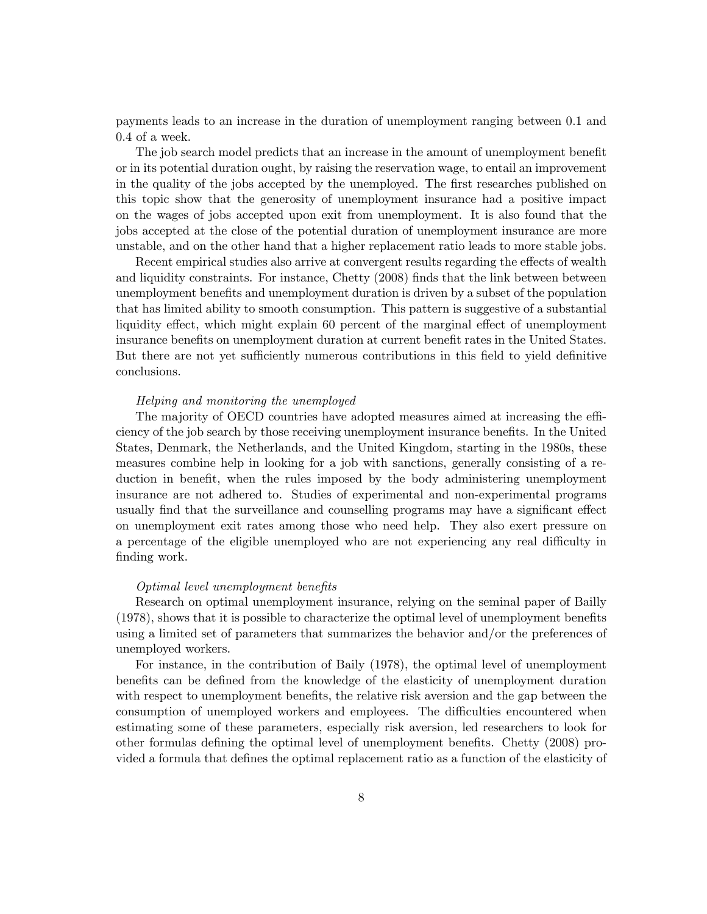payments leads to an increase in the duration of unemployment ranging between 0.1 and 0.4 of a week.

The job search model predicts that an increase in the amount of unemployment benefit or in its potential duration ought, by raising the reservation wage, to entail an improvement in the quality of the jobs accepted by the unemployed. The first researches published on this topic show that the generosity of unemployment insurance had a positive impact on the wages of jobs accepted upon exit from unemployment. It is also found that the jobs accepted at the close of the potential duration of unemployment insurance are more unstable, and on the other hand that a higher replacement ratio leads to more stable jobs.

Recent empirical studies also arrive at convergent results regarding the effects of wealth and liquidity constraints. For instance, Chetty (2008) finds that the link between between unemployment benefits and unemployment duration is driven by a subset of the population that has limited ability to smooth consumption. This pattern is suggestive of a substantial liquidity effect, which might explain 60 percent of the marginal effect of unemployment insurance benefits on unemployment duration at current benefit rates in the United States. But there are not yet sufficiently numerous contributions in this field to yield definitive conclusions.

#### Helping and monitoring the unemployed

The majority of OECD countries have adopted measures aimed at increasing the efficiency of the job search by those receiving unemployment insurance benefits. In the United States, Denmark, the Netherlands, and the United Kingdom, starting in the 1980s, these measures combine help in looking for a job with sanctions, generally consisting of a reduction in benefit, when the rules imposed by the body administering unemployment insurance are not adhered to. Studies of experimental and non-experimental programs usually find that the surveillance and counselling programs may have a significant effect on unemployment exit rates among those who need help. They also exert pressure on a percentage of the eligible unemployed who are not experiencing any real difficulty in finding work.

#### Optimal level unemployment benefits

Research on optimal unemployment insurance, relying on the seminal paper of Bailly  $(1978)$ , shows that it is possible to characterize the optimal level of unemployment benefits using a limited set of parameters that summarizes the behavior and/or the preferences of unemployed workers.

For instance, in the contribution of Baily (1978), the optimal level of unemployment benefits can be defined from the knowledge of the elasticity of unemployment duration with respect to unemployment benefits, the relative risk aversion and the gap between the consumption of unemployed workers and employees. The difficulties encountered when estimating some of these parameters, especially risk aversion, led researchers to look for other formulas defining the optimal level of unemployment benefits. Chetty (2008) provided a formula that defines the optimal replacement ratio as a function of the elasticity of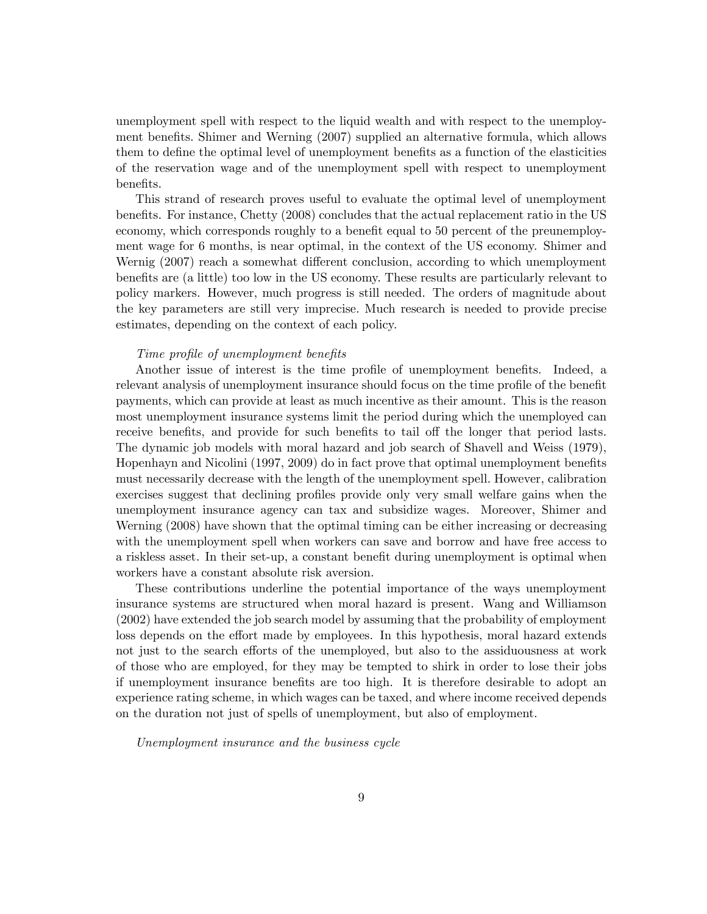unemployment spell with respect to the liquid wealth and with respect to the unemployment benefits. Shimer and Werning (2007) supplied an alternative formula, which allows them to define the optimal level of unemployment benefits as a function of the elasticities of the reservation wage and of the unemployment spell with respect to unemployment benefits.

This strand of research proves useful to evaluate the optimal level of unemployment benefits. For instance, Chetty (2008) concludes that the actual replacement ratio in the US economy, which corresponds roughly to a benefit equal to 50 percent of the preunemployment wage for 6 months, is near optimal, in the context of the US economy. Shimer and Wernig (2007) reach a somewhat different conclusion, according to which unemployment benefits are (a little) too low in the US economy. These results are particularly relevant to policy markers. However, much progress is still needed. The orders of magnitude about the key parameters are still very imprecise. Much research is needed to provide precise estimates, depending on the context of each policy.

#### Time profile of unemployment benefits

Another issue of interest is the time profile of unemployment benefits. Indeed, a relevant analysis of unemployment insurance should focus on the time profile of the benefit payments, which can provide at least as much incentive as their amount. This is the reason most unemployment insurance systems limit the period during which the unemployed can receive benefits, and provide for such benefits to tail off the longer that period lasts. The dynamic job models with moral hazard and job search of Shavell and Weiss (1979), Hopenhayn and Nicolini (1997, 2009) do in fact prove that optimal unemployment benefits must necessarily decrease with the length of the unemployment spell. However, calibration exercises suggest that declining profiles provide only very small welfare gains when the unemployment insurance agency can tax and subsidize wages. Moreover, Shimer and Werning (2008) have shown that the optimal timing can be either increasing or decreasing with the unemployment spell when workers can save and borrow and have free access to a riskless asset. In their set-up, a constant benefit during unemployment is optimal when workers have a constant absolute risk aversion.

These contributions underline the potential importance of the ways unemployment insurance systems are structured when moral hazard is present. Wang and Williamson (2002) have extended the job search model by assuming that the probability of employment loss depends on the effort made by employees. In this hypothesis, moral hazard extends not just to the search efforts of the unemployed, but also to the assiduousness at work of those who are employed, for they may be tempted to shirk in order to lose their jobs if unemployment insurance benefits are too high. It is therefore desirable to adopt an experience rating scheme, in which wages can be taxed, and where income received depends on the duration not just of spells of unemployment, but also of employment.

Unemployment insurance and the business cycle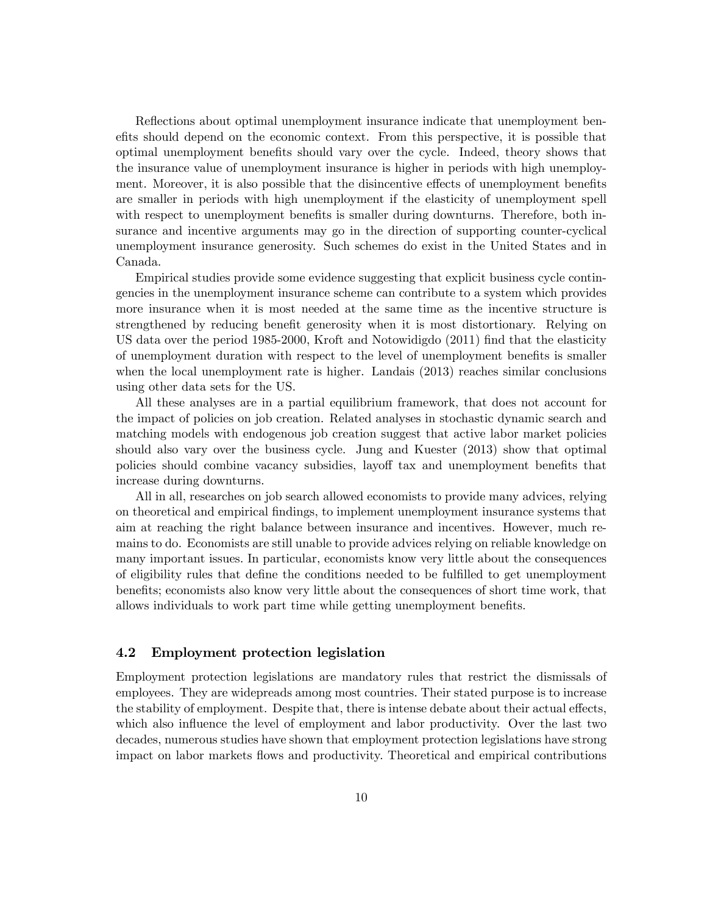Reflections about optimal unemployment insurance indicate that unemployment beneffts should depend on the economic context. From this perspective, it is possible that optimal unemployment benefits should vary over the cycle. Indeed, theory shows that the insurance value of unemployment insurance is higher in periods with high unemployment. Moreover, it is also possible that the disincentive effects of unemployment benefits are smaller in periods with high unemployment if the elasticity of unemployment spell with respect to unemployment benefits is smaller during downturns. Therefore, both insurance and incentive arguments may go in the direction of supporting counter-cyclical unemployment insurance generosity. Such schemes do exist in the United States and in Canada.

Empirical studies provide some evidence suggesting that explicit business cycle contingencies in the unemployment insurance scheme can contribute to a system which provides more insurance when it is most needed at the same time as the incentive structure is strengthened by reducing benefit generosity when it is most distortionary. Relying on US data over the period 1985-2000, Kroft and Notowidigdo (2011) find that the elasticity of unemployment duration with respect to the level of unemployment benefits is smaller when the local unemployment rate is higher. Landais (2013) reaches similar conclusions using other data sets for the US.

All these analyses are in a partial equilibrium framework, that does not account for the impact of policies on job creation. Related analyses in stochastic dynamic search and matching models with endogenous job creation suggest that active labor market policies should also vary over the business cycle. Jung and Kuester (2013) show that optimal policies should combine vacancy subsidies, layoff tax and unemployment benefits that increase during downturns.

All in all, researches on job search allowed economists to provide many advices, relying on theoretical and empirical Öndings, to implement unemployment insurance systems that aim at reaching the right balance between insurance and incentives. However, much remains to do. Economists are still unable to provide advices relying on reliable knowledge on many important issues. In particular, economists know very little about the consequences of eligibility rules that define the conditions needed to be fulfilled to get unemployment benefits; economists also know very little about the consequences of short time work, that allows individuals to work part time while getting unemployment benefits.

#### 4.2 Employment protection legislation

Employment protection legislations are mandatory rules that restrict the dismissals of employees. They are widepreads among most countries. Their stated purpose is to increase the stability of employment. Despite that, there is intense debate about their actual effects, which also influence the level of employment and labor productivity. Over the last two decades, numerous studies have shown that employment protection legislations have strong impact on labor markets áows and productivity. Theoretical and empirical contributions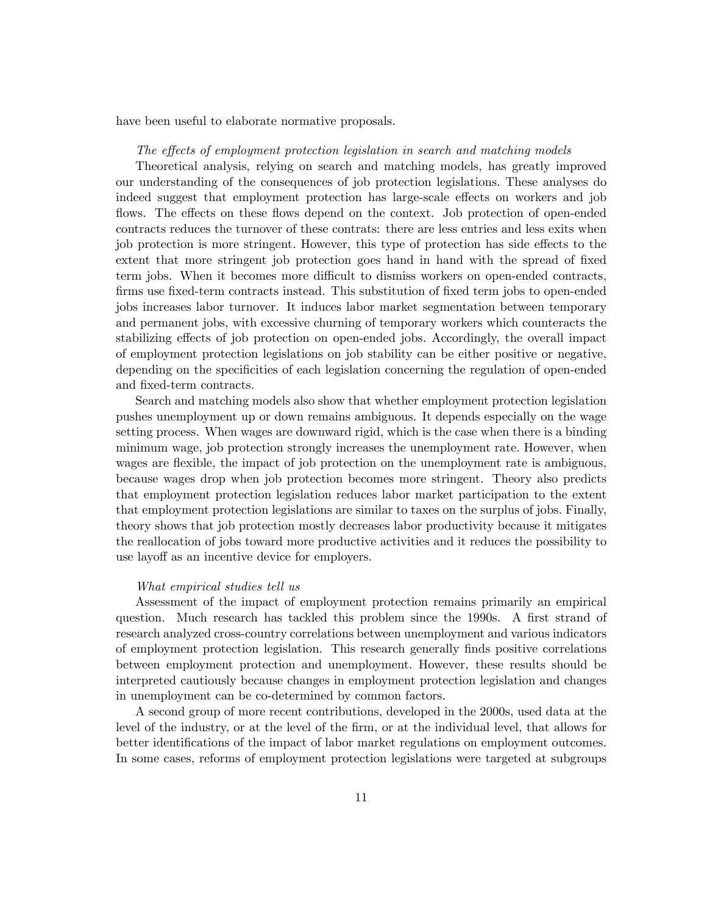have been useful to elaborate normative proposals.

#### The effects of employment protection legislation in search and matching models

Theoretical analysis, relying on search and matching models, has greatly improved our understanding of the consequences of job protection legislations. These analyses do indeed suggest that employment protection has large-scale effects on workers and job flows. The effects on these flows depend on the context. Job protection of open-ended contracts reduces the turnover of these contrats: there are less entries and less exits when job protection is more stringent. However, this type of protection has side effects to the extent that more stringent job protection goes hand in hand with the spread of fixed term jobs. When it becomes more difficult to dismiss workers on open-ended contracts, firms use fixed-term contracts instead. This substitution of fixed term jobs to open-ended jobs increases labor turnover. It induces labor market segmentation between temporary and permanent jobs, with excessive churning of temporary workers which counteracts the stabilizing effects of job protection on open-ended jobs. Accordingly, the overall impact of employment protection legislations on job stability can be either positive or negative, depending on the specificities of each legislation concerning the regulation of open-ended and fixed-term contracts.

Search and matching models also show that whether employment protection legislation pushes unemployment up or down remains ambiguous. It depends especially on the wage setting process. When wages are downward rigid, which is the case when there is a binding minimum wage, job protection strongly increases the unemployment rate. However, when wages are flexible, the impact of job protection on the unemployment rate is ambiguous, because wages drop when job protection becomes more stringent. Theory also predicts that employment protection legislation reduces labor market participation to the extent that employment protection legislations are similar to taxes on the surplus of jobs. Finally, theory shows that job protection mostly decreases labor productivity because it mitigates the reallocation of jobs toward more productive activities and it reduces the possibility to use layoff as an incentive device for employers.

#### What empirical studies tell us

Assessment of the impact of employment protection remains primarily an empirical question. Much research has tackled this problem since the 1990s. A first strand of research analyzed cross-country correlations between unemployment and various indicators of employment protection legislation. This research generally Önds positive correlations between employment protection and unemployment. However, these results should be interpreted cautiously because changes in employment protection legislation and changes in unemployment can be co-determined by common factors.

A second group of more recent contributions, developed in the 2000s, used data at the level of the industry, or at the level of the firm, or at the individual level, that allows for better identifications of the impact of labor market regulations on employment outcomes. In some cases, reforms of employment protection legislations were targeted at subgroups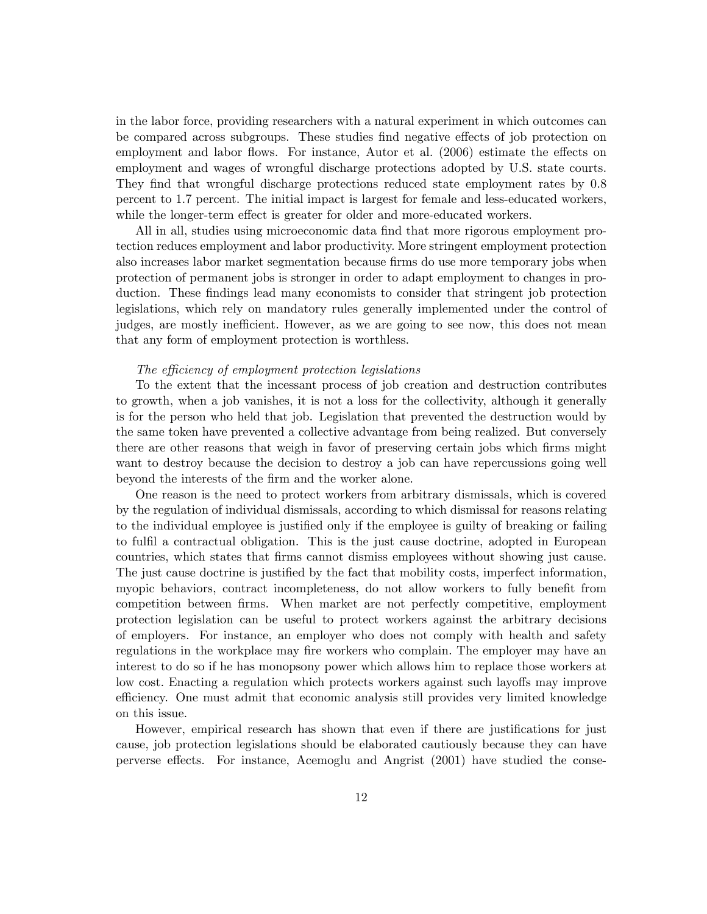in the labor force, providing researchers with a natural experiment in which outcomes can be compared across subgroups. These studies find negative effects of job protection on employment and labor flows. For instance, Autor et al. (2006) estimate the effects on employment and wages of wrongful discharge protections adopted by U.S. state courts. They find that wrongful discharge protections reduced state employment rates by 0.8 percent to 1.7 percent. The initial impact is largest for female and less-educated workers, while the longer-term effect is greater for older and more-educated workers.

All in all, studies using microeconomic data find that more rigorous employment protection reduces employment and labor productivity. More stringent employment protection also increases labor market segmentation because firms do use more temporary jobs when protection of permanent jobs is stronger in order to adapt employment to changes in production. These findings lead many economists to consider that stringent job protection legislations, which rely on mandatory rules generally implemented under the control of judges, are mostly inefficient. However, as we are going to see now, this does not mean that any form of employment protection is worthless.

#### The efficiency of employment protection legislations

To the extent that the incessant process of job creation and destruction contributes to growth, when a job vanishes, it is not a loss for the collectivity, although it generally is for the person who held that job. Legislation that prevented the destruction would by the same token have prevented a collective advantage from being realized. But conversely there are other reasons that weigh in favor of preserving certain jobs which firms might want to destroy because the decision to destroy a job can have repercussions going well beyond the interests of the firm and the worker alone.

One reason is the need to protect workers from arbitrary dismissals, which is covered by the regulation of individual dismissals, according to which dismissal for reasons relating to the individual employee is justified only if the employee is guilty of breaking or failing to fulfil a contractual obligation. This is the just cause doctrine, adopted in European countries, which states that Örms cannot dismiss employees without showing just cause. The just cause doctrine is justified by the fact that mobility costs, imperfect information, myopic behaviors, contract incompleteness, do not allow workers to fully benefit from competition between firms. When market are not perfectly competitive, employment protection legislation can be useful to protect workers against the arbitrary decisions of employers. For instance, an employer who does not comply with health and safety regulations in the workplace may fire workers who complain. The employer may have an interest to do so if he has monopsony power which allows him to replace those workers at low cost. Enacting a regulation which protects workers against such layoffs may improve efficiency. One must admit that economic analysis still provides very limited knowledge on this issue.

However, empirical research has shown that even if there are justifications for just cause, job protection legislations should be elaborated cautiously because they can have perverse effects. For instance, Acemoglu and Angrist  $(2001)$  have studied the conse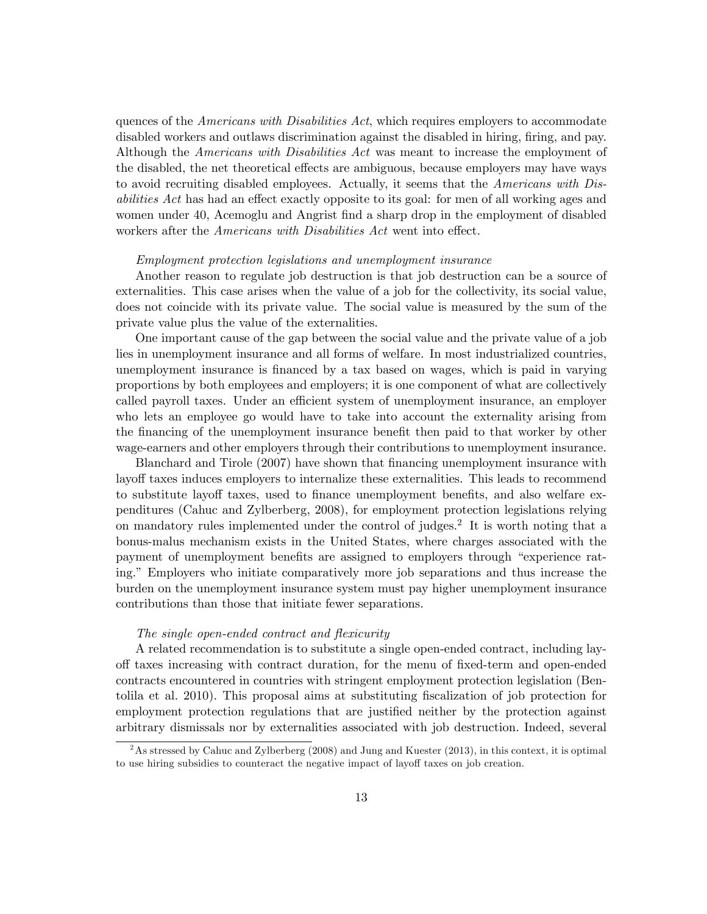quences of the Americans with Disabilities Act, which requires employers to accommodate disabled workers and outlaws discrimination against the disabled in hiring, firing, and pay. Although the Americans with Disabilities Act was meant to increase the employment of the disabled, the net theoretical effects are ambiguous, because employers may have ways to avoid recruiting disabled employees. Actually, it seems that the Americans with Disabilities Act has had an effect exactly opposite to its goal: for men of all working ages and women under 40, Acemoglu and Angrist find a sharp drop in the employment of disabled workers after the *Americans with Disabilities Act* went into effect.

#### Employment protection legislations and unemployment insurance

Another reason to regulate job destruction is that job destruction can be a source of externalities. This case arises when the value of a job for the collectivity, its social value, does not coincide with its private value. The social value is measured by the sum of the private value plus the value of the externalities.

One important cause of the gap between the social value and the private value of a job lies in unemployment insurance and all forms of welfare. In most industrialized countries, unemployment insurance is Önanced by a tax based on wages, which is paid in varying proportions by both employees and employers; it is one component of what are collectively called payroll taxes. Under an efficient system of unemployment insurance, an employer who lets an employee go would have to take into account the externality arising from the financing of the unemployment insurance benefit then paid to that worker by other wage-earners and other employers through their contributions to unemployment insurance.

Blanchard and Tirole (2007) have shown that Önancing unemployment insurance with layoff taxes induces employers to internalize these externalities. This leads to recommend to substitute layoff taxes, used to finance unemployment benefits, and also welfare expenditures (Cahuc and Zylberberg, 2008), for employment protection legislations relying on mandatory rules implemented under the control of judges.<sup>2</sup> It is worth noting that a bonus-malus mechanism exists in the United States, where charges associated with the payment of unemployment benefits are assigned to employers through "experience rating.î Employers who initiate comparatively more job separations and thus increase the burden on the unemployment insurance system must pay higher unemployment insurance contributions than those that initiate fewer separations.

#### The single open-ended contract and flexicurity

A related recommendation is to substitute a single open-ended contract, including layo§ taxes increasing with contract duration, for the menu of Öxed-term and open-ended contracts encountered in countries with stringent employment protection legislation (Bentolila et al. 2010). This proposal aims at substituting fiscalization of job protection for employment protection regulations that are justified neither by the protection against arbitrary dismissals nor by externalities associated with job destruction. Indeed, several

<sup>&</sup>lt;sup>2</sup>As stressed by Cahuc and Zylberberg (2008) and Jung and Kuester (2013), in this context, it is optimal to use hiring subsidies to counteract the negative impact of layoff taxes on job creation.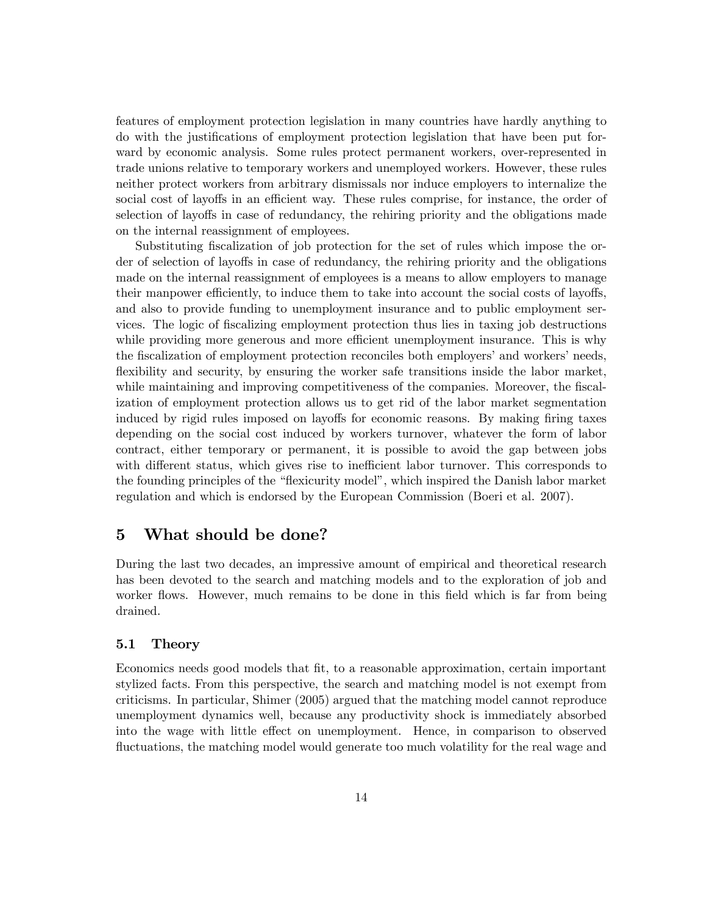features of employment protection legislation in many countries have hardly anything to do with the justifications of employment protection legislation that have been put forward by economic analysis. Some rules protect permanent workers, over-represented in trade unions relative to temporary workers and unemployed workers. However, these rules neither protect workers from arbitrary dismissals nor induce employers to internalize the social cost of layoffs in an efficient way. These rules comprise, for instance, the order of selection of layoffs in case of redundancy, the rehiring priority and the obligations made on the internal reassignment of employees.

Substituting fiscalization of job protection for the set of rules which impose the order of selection of layoffs in case of redundancy, the rehiring priority and the obligations made on the internal reassignment of employees is a means to allow employers to manage their manpower efficiently, to induce them to take into account the social costs of layoffs, and also to provide funding to unemployment insurance and to public employment services. The logic of Öscalizing employment protection thus lies in taxing job destructions while providing more generous and more efficient unemployment insurance. This is why the fiscalization of employment protection reconciles both employers' and workers' needs, flexibility and security, by ensuring the worker safe transitions inside the labor market, while maintaining and improving competitiveness of the companies. Moreover, the fiscalization of employment protection allows us to get rid of the labor market segmentation induced by rigid rules imposed on layoffs for economic reasons. By making firing taxes depending on the social cost induced by workers turnover, whatever the form of labor contract, either temporary or permanent, it is possible to avoid the gap between jobs with different status, which gives rise to inefficient labor turnover. This corresponds to the founding principles of the "flexicurity model", which inspired the Danish labor market regulation and which is endorsed by the European Commission (Boeri et al. 2007).

## 5 What should be done?

During the last two decades, an impressive amount of empirical and theoretical research has been devoted to the search and matching models and to the exploration of job and worker flows. However, much remains to be done in this field which is far from being drained.

#### 5.1 Theory

Economics needs good models that Öt, to a reasonable approximation, certain important stylized facts. From this perspective, the search and matching model is not exempt from criticisms. In particular, Shimer (2005) argued that the matching model cannot reproduce unemployment dynamics well, because any productivity shock is immediately absorbed into the wage with little effect on unemployment. Hence, in comparison to observed fluctuations, the matching model would generate too much volatility for the real wage and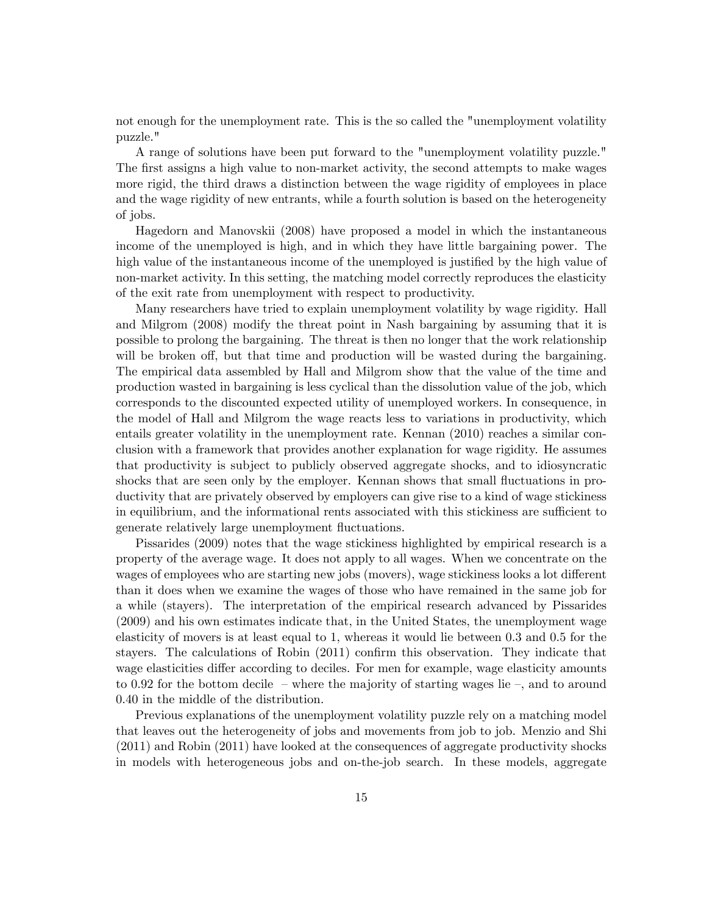not enough for the unemployment rate. This is the so called the "unemployment volatility puzzle."

A range of solutions have been put forward to the "unemployment volatility puzzle." The first assigns a high value to non-market activity, the second attempts to make wages more rigid, the third draws a distinction between the wage rigidity of employees in place and the wage rigidity of new entrants, while a fourth solution is based on the heterogeneity of jobs.

Hagedorn and Manovskii (2008) have proposed a model in which the instantaneous income of the unemployed is high, and in which they have little bargaining power. The high value of the instantaneous income of the unemployed is justified by the high value of non-market activity. In this setting, the matching model correctly reproduces the elasticity of the exit rate from unemployment with respect to productivity.

Many researchers have tried to explain unemployment volatility by wage rigidity. Hall and Milgrom (2008) modify the threat point in Nash bargaining by assuming that it is possible to prolong the bargaining. The threat is then no longer that the work relationship will be broken off, but that time and production will be wasted during the bargaining. The empirical data assembled by Hall and Milgrom show that the value of the time and production wasted in bargaining is less cyclical than the dissolution value of the job, which corresponds to the discounted expected utility of unemployed workers. In consequence, in the model of Hall and Milgrom the wage reacts less to variations in productivity, which entails greater volatility in the unemployment rate. Kennan (2010) reaches a similar conclusion with a framework that provides another explanation for wage rigidity. He assumes that productivity is subject to publicly observed aggregate shocks, and to idiosyncratic shocks that are seen only by the employer. Kennan shows that small fluctuations in productivity that are privately observed by employers can give rise to a kind of wage stickiness in equilibrium, and the informational rents associated with this stickiness are sufficient to generate relatively large unemployment áuctuations.

Pissarides (2009) notes that the wage stickiness highlighted by empirical research is a property of the average wage. It does not apply to all wages. When we concentrate on the wages of employees who are starting new jobs (movers), wage stickiness looks a lot different than it does when we examine the wages of those who have remained in the same job for a while (stayers). The interpretation of the empirical research advanced by Pissarides (2009) and his own estimates indicate that, in the United States, the unemployment wage elasticity of movers is at least equal to 1, whereas it would lie between 0.3 and 0.5 for the stayers. The calculations of Robin  $(2011)$  confirm this observation. They indicate that wage elasticities differ according to deciles. For men for example, wage elasticity amounts to 0.92 for the bottom decile  $\overline{\phantom{a}}$  – where the majority of starting wages lie  $\overline{\phantom{a}}$ , and to around 0.40 in the middle of the distribution.

Previous explanations of the unemployment volatility puzzle rely on a matching model that leaves out the heterogeneity of jobs and movements from job to job. Menzio and Shi (2011) and Robin (2011) have looked at the consequences of aggregate productivity shocks in models with heterogeneous jobs and on-the-job search. In these models, aggregate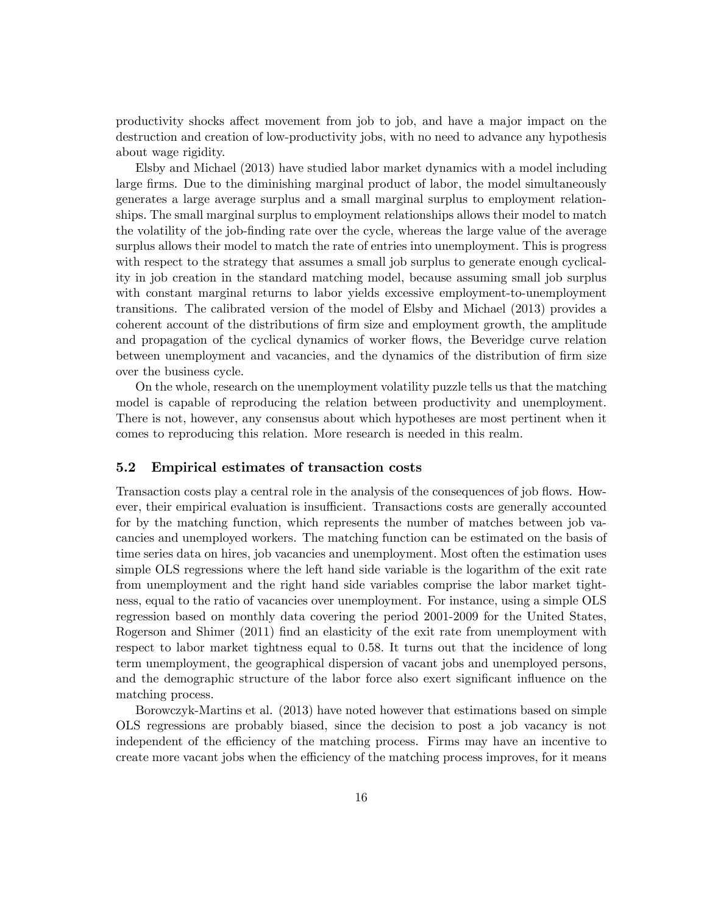productivity shocks affect movement from job to job, and have a major impact on the destruction and creation of low-productivity jobs, with no need to advance any hypothesis about wage rigidity.

Elsby and Michael (2013) have studied labor market dynamics with a model including large firms. Due to the diminishing marginal product of labor, the model simultaneously generates a large average surplus and a small marginal surplus to employment relationships. The small marginal surplus to employment relationships allows their model to match the volatility of the job-Önding rate over the cycle, whereas the large value of the average surplus allows their model to match the rate of entries into unemployment. This is progress with respect to the strategy that assumes a small job surplus to generate enough cyclicality in job creation in the standard matching model, because assuming small job surplus with constant marginal returns to labor yields excessive employment-to-unemployment transitions. The calibrated version of the model of Elsby and Michael (2013) provides a coherent account of the distributions of firm size and employment growth, the amplitude and propagation of the cyclical dynamics of worker flows, the Beveridge curve relation between unemployment and vacancies, and the dynamics of the distribution of firm size over the business cycle.

On the whole, research on the unemployment volatility puzzle tells us that the matching model is capable of reproducing the relation between productivity and unemployment. There is not, however, any consensus about which hypotheses are most pertinent when it comes to reproducing this relation. More research is needed in this realm.

#### 5.2 Empirical estimates of transaction costs

Transaction costs play a central role in the analysis of the consequences of job áows. However, their empirical evaluation is insufficient. Transactions costs are generally accounted for by the matching function, which represents the number of matches between job vacancies and unemployed workers. The matching function can be estimated on the basis of time series data on hires, job vacancies and unemployment. Most often the estimation uses simple OLS regressions where the left hand side variable is the logarithm of the exit rate from unemployment and the right hand side variables comprise the labor market tightness, equal to the ratio of vacancies over unemployment. For instance, using a simple OLS regression based on monthly data covering the period 2001-2009 for the United States, Rogerson and Shimer (2011) Önd an elasticity of the exit rate from unemployment with respect to labor market tightness equal to 0.58. It turns out that the incidence of long term unemployment, the geographical dispersion of vacant jobs and unemployed persons, and the demographic structure of the labor force also exert significant influence on the matching process.

Borowczyk-Martins et al. (2013) have noted however that estimations based on simple OLS regressions are probably biased, since the decision to post a job vacancy is not independent of the efficiency of the matching process. Firms may have an incentive to create more vacant jobs when the efficiency of the matching process improves, for it means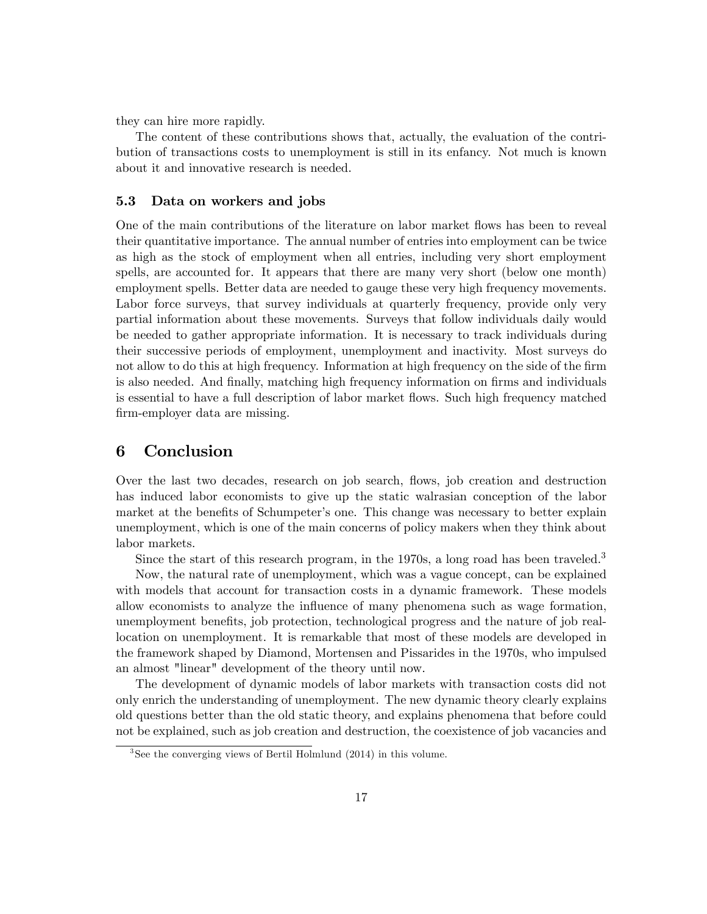they can hire more rapidly.

The content of these contributions shows that, actually, the evaluation of the contribution of transactions costs to unemployment is still in its enfancy. Not much is known about it and innovative research is needed.

#### 5.3 Data on workers and jobs

One of the main contributions of the literature on labor market flows has been to reveal their quantitative importance. The annual number of entries into employment can be twice as high as the stock of employment when all entries, including very short employment spells, are accounted for. It appears that there are many very short (below one month) employment spells. Better data are needed to gauge these very high frequency movements. Labor force surveys, that survey individuals at quarterly frequency, provide only very partial information about these movements. Surveys that follow individuals daily would be needed to gather appropriate information. It is necessary to track individuals during their successive periods of employment, unemployment and inactivity. Most surveys do not allow to do this at high frequency. Information at high frequency on the side of the firm is also needed. And finally, matching high frequency information on firms and individuals is essential to have a full description of labor market flows. Such high frequency matched firm-employer data are missing.

## 6 Conclusion

Over the last two decades, research on job search, áows, job creation and destruction has induced labor economists to give up the static walrasian conception of the labor market at the benefits of Schumpeter's one. This change was necessary to better explain unemployment, which is one of the main concerns of policy makers when they think about labor markets.

Since the start of this research program, in the 1970s, a long road has been traveled.<sup>3</sup>

Now, the natural rate of unemployment, which was a vague concept, can be explained with models that account for transaction costs in a dynamic framework. These models allow economists to analyze the influence of many phenomena such as wage formation, unemployment benefits, job protection, technological progress and the nature of job reallocation on unemployment. It is remarkable that most of these models are developed in the framework shaped by Diamond, Mortensen and Pissarides in the 1970s, who impulsed an almost "linear" development of the theory until now.

The development of dynamic models of labor markets with transaction costs did not only enrich the understanding of unemployment. The new dynamic theory clearly explains old questions better than the old static theory, and explains phenomena that before could not be explained, such as job creation and destruction, the coexistence of job vacancies and

<sup>&</sup>lt;sup>3</sup>See the converging views of Bertil Holmlund (2014) in this volume.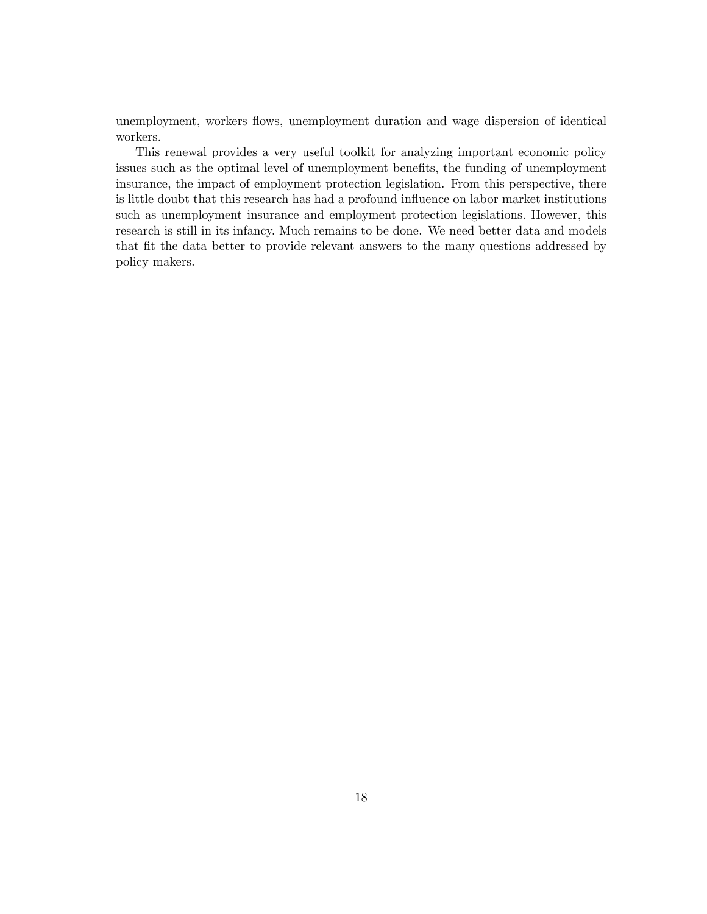unemployment, workers flows, unemployment duration and wage dispersion of identical workers.

This renewal provides a very useful toolkit for analyzing important economic policy issues such as the optimal level of unemployment benefits, the funding of unemployment insurance, the impact of employment protection legislation. From this perspective, there is little doubt that this research has had a profound ináuence on labor market institutions such as unemployment insurance and employment protection legislations. However, this research is still in its infancy. Much remains to be done. We need better data and models that Öt the data better to provide relevant answers to the many questions addressed by policy makers.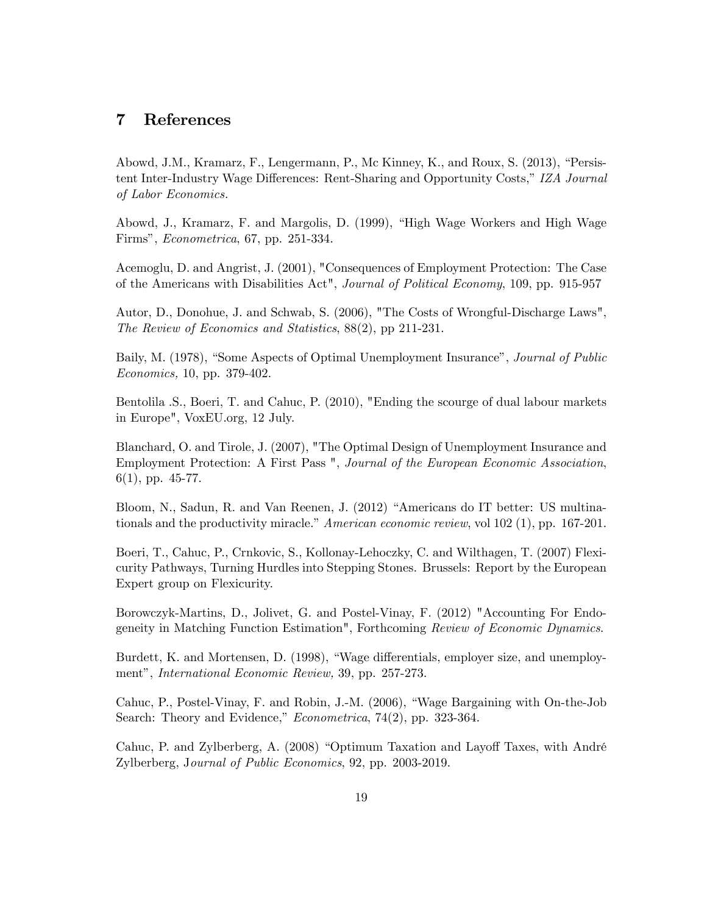## 7 References

Abowd, J.M., Kramarz, F., Lengermann, P., Mc Kinney, K., and Roux, S. (2013), "Persistent Inter-Industry Wage Differences: Rent-Sharing and Opportunity Costs," IZA Journal of Labor Economics.

Abowd, J., Kramarz, F. and Margolis, D. (1999), "High Wage Workers and High Wage Firms", *Econometrica*, 67, pp. 251-334.

Acemoglu, D. and Angrist, J. (2001), "Consequences of Employment Protection: The Case of the Americans with Disabilities Act", Journal of Political Economy, 109, pp. 915-957

Autor, D., Donohue, J. and Schwab, S. (2006), "The Costs of Wrongful-Discharge Laws", The Review of Economics and Statistics, 88(2), pp 211-231.

Baily, M. (1978), "Some Aspects of Optimal Unemployment Insurance", *Journal of Public* Economics, 10, pp. 379-402.

Bentolila .S., Boeri, T. and Cahuc, P. (2010), "Ending the scourge of dual labour markets in Europe", VoxEU.org, 12 July.

Blanchard, O. and Tirole, J. (2007), "The Optimal Design of Unemployment Insurance and Employment Protection: A First Pass ", Journal of the European Economic Association, 6(1), pp. 45-77.

Bloom, N., Sadun, R. and Van Reenen, J. (2012) "Americans do IT better: US multinationals and the productivity miracle." American economic review, vol  $102 (1)$ , pp. 167-201.

Boeri, T., Cahuc, P., Crnkovic, S., Kollonay-Lehoczky, C. and Wilthagen, T. (2007) Flexicurity Pathways, Turning Hurdles into Stepping Stones. Brussels: Report by the European Expert group on Flexicurity.

Borowczyk-Martins, D., Jolivet, G. and Postel-Vinay, F. (2012) "Accounting For Endogeneity in Matching Function Estimation", Forthcoming Review of Economic Dynamics.

Burdett, K. and Mortensen, D. (1998), "Wage differentials, employer size, and unemployment", *International Economic Review*, 39, pp. 257-273.

Cahuc, P., Postel-Vinay, F. and Robin, J.-M. (2006), "Wage Bargaining with On-the-Job Search: Theory and Evidence," Econometrica, 74(2), pp. 323-364.

Cahuc, P. and Zylberberg, A. (2008) "Optimum Taxation and Layoff Taxes, with André Zylberberg, Journal of Public Economics, 92, pp. 2003-2019.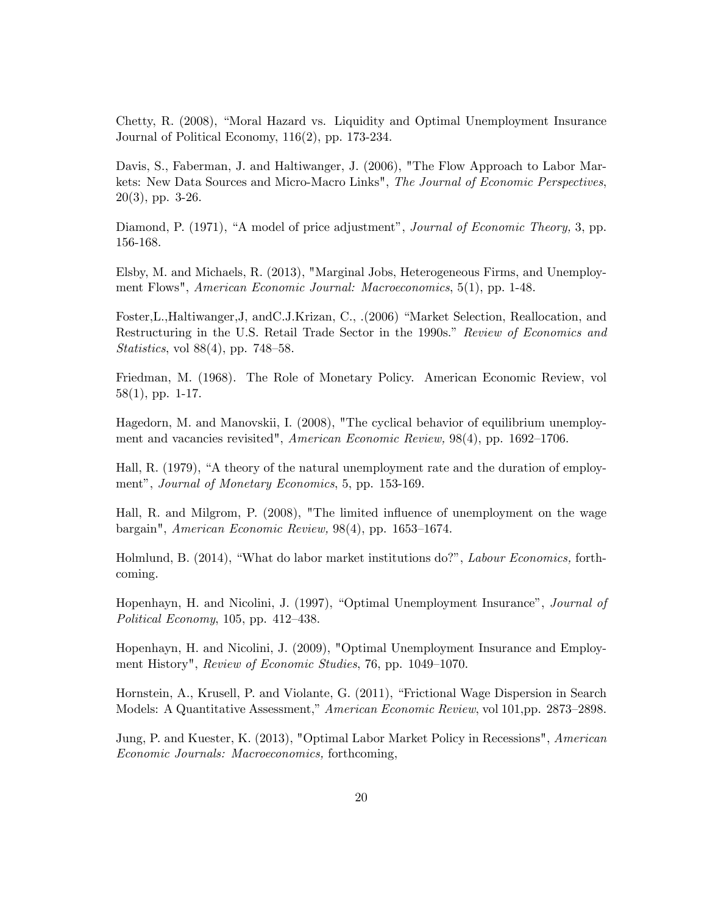Chetty, R. (2008), "Moral Hazard vs. Liquidity and Optimal Unemployment Insurance Journal of Political Economy, 116(2), pp. 173-234.

Davis, S., Faberman, J. and Haltiwanger, J. (2006), "The Flow Approach to Labor Markets: New Data Sources and Micro-Macro Links", The Journal of Economic Perspectives, 20(3), pp. 3-26.

Diamond, P. (1971), "A model of price adjustment", Journal of Economic Theory, 3, pp. 156-168.

Elsby, M. and Michaels, R. (2013), "Marginal Jobs, Heterogeneous Firms, and Unemployment Flows", American Economic Journal: Macroeconomics, 5(1), pp. 1-48.

Foster,L.,Haltiwanger,J, andC.J.Krizan, C., .(2006) "Market Selection, Reallocation, and Restructuring in the U.S. Retail Trade Sector in the 1990s." Review of Economics and *Statistics*, vol  $88(4)$ , pp. 748–58.

Friedman, M. (1968). The Role of Monetary Policy. American Economic Review, vol 58(1), pp. 1-17.

Hagedorn, M. and Manovskii, I. (2008), "The cyclical behavior of equilibrium unemployment and vacancies revisited", American Economic Review,  $98(4)$ , pp. 1692–1706.

Hall, R.  $(1979)$ , "A theory of the natural unemployment rate and the duration of employment", Journal of Monetary Economics, 5, pp. 153-169.

Hall, R. and Milgrom, P. (2008), "The limited influence of unemployment on the wage bargain", American Economic Review,  $98(4)$ , pp. 1653–1674.

Holmlund, B. (2014), "What do labor market institutions do?", Labour Economics, forthcoming.

Hopenhayn, H. and Nicolini, J. (1997), "Optimal Unemployment Insurance", Journal of Political Economy, 105, pp.  $412-438$ .

Hopenhayn, H. and Nicolini, J. (2009), "Optimal Unemployment Insurance and Employment History", Review of Economic Studies, 76, pp. 1049–1070.

Hornstein, A., Krusell, P. and Violante, G. (2011), "Frictional Wage Dispersion in Search Models: A Quantitative Assessment," American Economic Review, vol 101,pp. 2873–2898.

Jung, P. and Kuester, K. (2013), "Optimal Labor Market Policy in Recessions", American Economic Journals: Macroeconomics, forthcoming,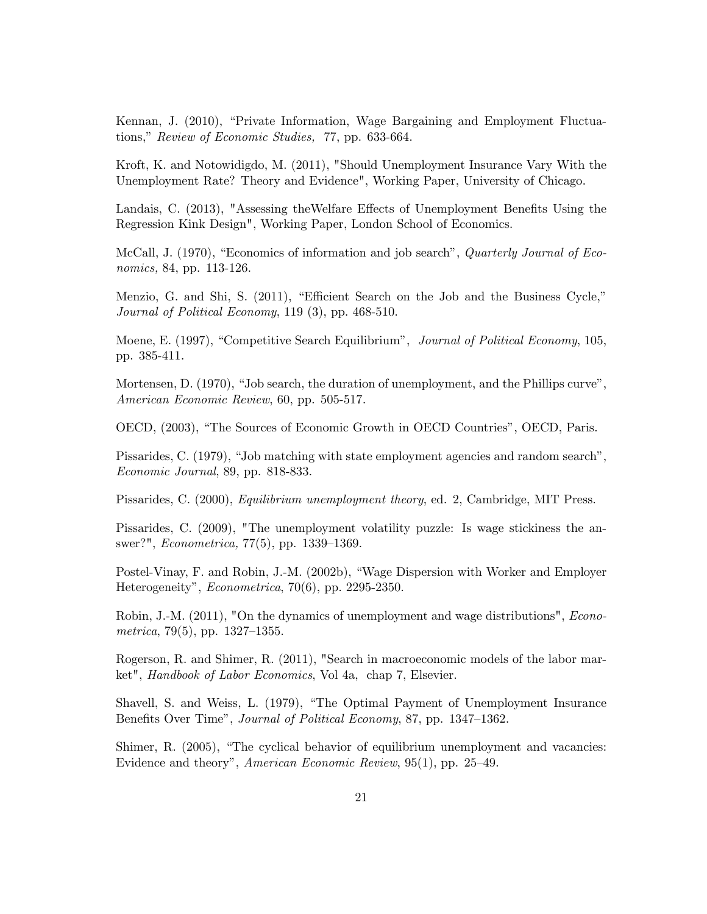Kennan, J. (2010), "Private Information, Wage Bargaining and Employment Fluctuations," Review of Economic Studies, 77, pp. 633-664.

Kroft, K. and Notowidigdo, M. (2011), "Should Unemployment Insurance Vary With the Unemployment Rate? Theory and Evidence", Working Paper, University of Chicago.

Landais, C. (2013), "Assessing the Welfare Effects of Unemployment Benefits Using the Regression Kink Design", Working Paper, London School of Economics.

McCall, J. (1970), "Economics of information and job search", Quarterly Journal of Economics, 84, pp. 113-126.

Menzio, G. and Shi, S. (2011), "Efficient Search on the Job and the Business Cycle," Journal of Political Economy, 119 (3), pp. 468-510.

Moene, E. (1997), "Competitive Search Equilibrium", Journal of Political Economy, 105, pp. 385-411.

Mortensen, D.  $(1970)$ , "Job search, the duration of unemployment, and the Phillips curve", American Economic Review, 60, pp. 505-517.

OECD, (2003), "The Sources of Economic Growth in OECD Countries", OECD, Paris.

Pissarides, C. (1979), "Job matching with state employment agencies and random search", Economic Journal, 89, pp. 818-833.

Pissarides, C. (2000), Equilibrium unemployment theory, ed. 2, Cambridge, MIT Press.

Pissarides, C. (2009), "The unemployment volatility puzzle: Is wage stickiness the answer?", *Econometrica*,  $77(5)$ , pp. 1339–1369.

Postel-Vinay, F. and Robin, J.-M. (2002b), "Wage Dispersion with Worker and Employer Heterogeneityî, Econometrica, 70(6), pp. 2295-2350.

Robin, J.-M. (2011), "On the dynamics of unemployment and wage distributions", Econometrica, 79(5), pp. 1327–1355.

Rogerson, R. and Shimer, R. (2011), "Search in macroeconomic models of the labor market", Handbook of Labor Economics, Vol 4a, chap 7, Elsevier.

Shavell, S. and Weiss, L. (1979), "The Optimal Payment of Unemployment Insurance Benefits Over Time", *Journal of Political Economy*, 87, pp. 1347–1362.

Shimer, R.  $(2005)$ , "The cyclical behavior of equilibrium unemployment and vacancies: Evidence and theory", American Economic Review, 95(1), pp. 25-49.